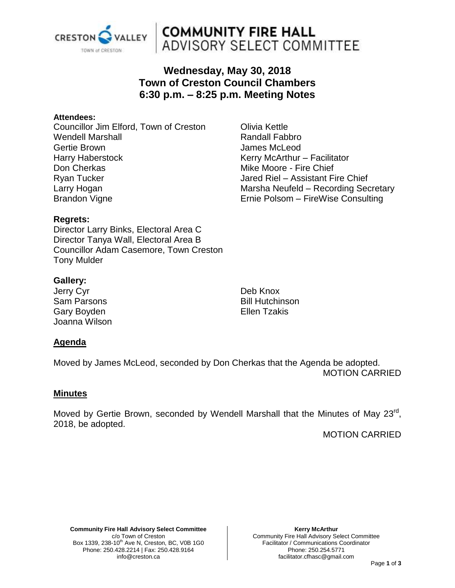

# **COMMUNITY FIRE HALL** ADVISORY SELECT COMMITTEE

# **Wednesday, May 30, 2018 Town of Creston Council Chambers 6:30 p.m. – 8:25 p.m. Meeting Notes**

#### **Attendees:**

Councillor Jim Elford, Town of Creston Wendell Marshall Gertie Brown Harry Haberstock Don Cherkas Ryan Tucker Larry Hogan Brandon Vigne

Olivia Kettle Randall Fabbro James McLeod Kerry McArthur – Facilitator Mike Moore - Fire Chief Jared Riel – Assistant Fire Chief Marsha Neufeld – Recording Secretary Ernie Polsom – FireWise Consulting

# **Regrets:**

Director Larry Binks, Electoral Area C Director Tanya Wall, Electoral Area B Councillor Adam Casemore, Town Creston Tony Mulder

# **Gallery:**

Jerry Cyr Sam Parsons Gary Boyden Joanna Wilson Deb Knox Bill Hutchinson Ellen Tzakis

# **Agenda**

Moved by James McLeod, seconded by Don Cherkas that the Agenda be adopted. MOTION CARRIED

### **Minutes**

Moved by Gertie Brown, seconded by Wendell Marshall that the Minutes of May 23<sup>rd</sup>, 2018, be adopted.

MOTION CARRIED

**Community Fire Hall Advisory Select Committee** c/o Town of Creston Box 1339, 238-10<sup>th</sup> Ave N, Creston, BC, V0B 1G0 Phone: 250.428.2214 | Fax: 250.428.9164 info@creston.ca

**Kerry McArthur** Community Fire Hall Advisory Select Committee Facilitator / Communications Coordinator Phone: 250.254.5771 facilitator.cfhasc@gmail.com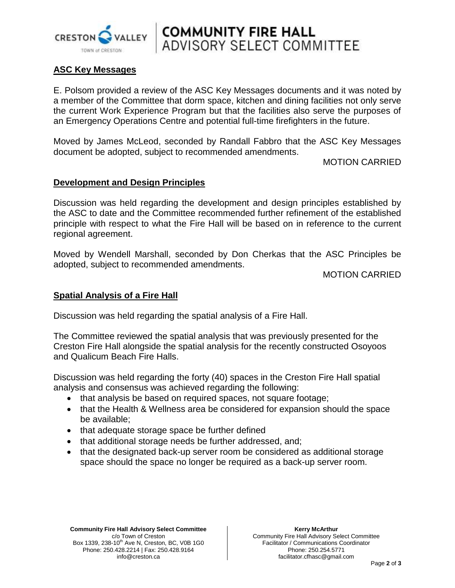

# **COMMUNITY FIRE HALL**<br>ADVISORY SELECT COMMITTEE

# **ASC Key Messages**

E. Polsom provided a review of the ASC Key Messages documents and it was noted by a member of the Committee that dorm space, kitchen and dining facilities not only serve the current Work Experience Program but that the facilities also serve the purposes of an Emergency Operations Centre and potential full-time firefighters in the future.

Moved by James McLeod, seconded by Randall Fabbro that the ASC Key Messages document be adopted, subject to recommended amendments.

MOTION CARRIED

# **Development and Design Principles**

Discussion was held regarding the development and design principles established by the ASC to date and the Committee recommended further refinement of the established principle with respect to what the Fire Hall will be based on in reference to the current regional agreement.

Moved by Wendell Marshall, seconded by Don Cherkas that the ASC Principles be adopted, subject to recommended amendments.

MOTION CARRIED

### **Spatial Analysis of a Fire Hall**

Discussion was held regarding the spatial analysis of a Fire Hall.

The Committee reviewed the spatial analysis that was previously presented for the Creston Fire Hall alongside the spatial analysis for the recently constructed Osoyoos and Qualicum Beach Fire Halls.

Discussion was held regarding the forty (40) spaces in the Creston Fire Hall spatial analysis and consensus was achieved regarding the following:

- that analysis be based on required spaces, not square footage;
- that the Health & Wellness area be considered for expansion should the space be available;
- that adequate storage space be further defined
- that additional storage needs be further addressed, and;
- that the designated back-up server room be considered as additional storage space should the space no longer be required as a back-up server room.